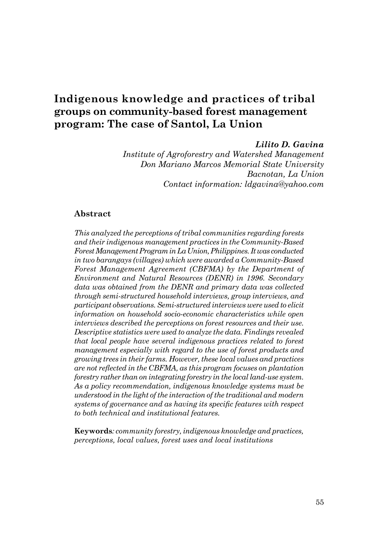# **Indigenous knowledge and practices of tribal groups on community-based forest management program: The case of Santol, La Union**

*Lilito D. Gavina*

*Institute of Agroforestry and Watershed Management Don Mariano Marcos Memorial State University Bacnotan, La Union Contact information: ldgavina@yahoo.com*

#### **Abstract**

*This analyzed the perceptions of tribal communities regarding forests and their indigenous management practices in the Community-Based Forest Management Program in La Union, Philippines. It was conducted in two barangays (villages) which were awarded a Community-Based*  Forest Management Agreement (CBFMA) by the Department of *Environment and Natural Resources (DENR) in 1996. Secondary data was obtained from the DENR and primary data was collected through semi-structured household interviews, group interviews, and participant observations. Semi-structured interviews were used to elicit information on household socio-economic characteristics while open interviews described the perceptions on forest resources and their use. Descriptive statistics were used to analyze the data. Findings revealed that local people have several indigenous practices related to forest management especially with regard to the use of forest products and growing trees in their farms. However, these local values and practices are not reflected in the CBFMA, as this program focuses on plantation forestry rather than on integrating forestry in the local land-use system. As a policy recommendation, indigenous knowledge systems must be understood in the light of the interaction of the traditional and modern systems of governance and as having its specific features with respect to both technical and institutional features.* 

**Keywords***: community forestry, indigenous knowledge and practices, perceptions, local values, forest uses and local institutions*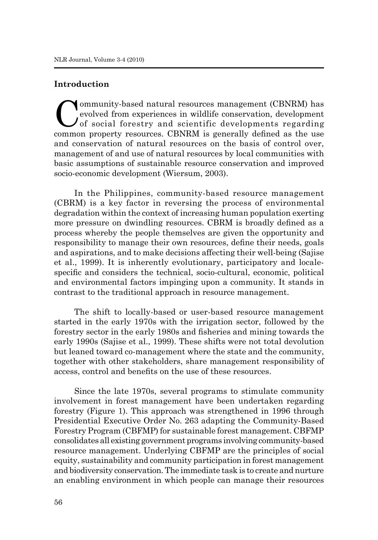### **Introduction**

Community-based natural resources management (CBNRM) has<br>evolved from experiences in wildlife conservation, development<br>of social forestry and scientific developments regarding<br>common property resources. GBNPM is concrelly evolved from experiences in wildlife conservation, development  $\mathcal{V}_{\text{of}}$  social forestry and scientific developments regarding common property resources. CBNRM is generally defined as the use and conservation of natural resources on the basis of control over, management of and use of natural resources by local communities with basic assumptions of sustainable resource conservation and improved socio-economic development (Wiersum, 2003).

In the Philippines, community-based resource management (CBRM) is a key factor in reversing the process of environmental degradation within the context of increasing human population exerting more pressure on dwindling resources. CBRM is broadly defined as a process whereby the people themselves are given the opportunity and responsibility to manage their own resources, define their needs, goals and aspirations, and to make decisions affecting their well-being (Sajise et al., 1999). It is inherently evolutionary, participatory and localespecific and considers the technical, socio-cultural, economic, political and environmental factors impinging upon a community. It stands in contrast to the traditional approach in resource management.

The shift to locally-based or user-based resource management started in the early 1970s with the irrigation sector, followed by the forestry sector in the early 1980s and fisheries and mining towards the early 1990s (Sajise et al., 1999). These shifts were not total devolution but leaned toward co-management where the state and the community, together with other stakeholders, share management responsibility of access, control and benefits on the use of these resources.

Since the late 1970s, several programs to stimulate community involvement in forest management have been undertaken regarding forestry (Figure 1). This approach was strengthened in 1996 through Presidential Executive Order No. 263 adapting the Community-Based Forestry Program (CBFMP) for sustainable forest management. CBFMP consolidates all existing government programs involving community-based resource management. Underlying CBFMP are the principles of social equity, sustainability and community participation in forest management and biodiversity conservation. The immediate task is to create and nurture an enabling environment in which people can manage their resources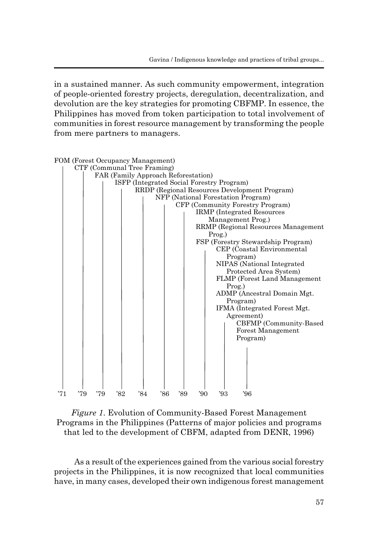in a sustained manner. As such community empowerment, integration of people-oriented forestry projects, deregulation, decentralization, and devolution are the key strategies for promoting CBFMP. In essence, the Philippines has moved from token participation to total involvement of communities in forest resource management by transforming the people from mere partners to managers.

|     |                             |     | FOM (Forest Occupancy Management)             |     |     |     |     |                                      |  |  |
|-----|-----------------------------|-----|-----------------------------------------------|-----|-----|-----|-----|--------------------------------------|--|--|
|     | CTF (Communal Tree Framing) |     |                                               |     |     |     |     |                                      |  |  |
|     |                             |     | FAR (Family Approach Reforestation)           |     |     |     |     |                                      |  |  |
|     |                             |     | ISFP (Integrated Social Forestry Program)     |     |     |     |     |                                      |  |  |
|     |                             |     | RRDP (Regional Resources Development Program) |     |     |     |     |                                      |  |  |
|     |                             |     | NFP (National Forestation Program)            |     |     |     |     |                                      |  |  |
|     |                             |     | CFP (Community Forestry Program)              |     |     |     |     |                                      |  |  |
|     |                             |     | <b>IRMP</b> (Integrated Resources             |     |     |     |     |                                      |  |  |
|     |                             |     | Management Prog.)                             |     |     |     |     |                                      |  |  |
|     |                             |     | RRMP (Regional Resources Management           |     |     |     |     |                                      |  |  |
|     |                             |     | $Prog.$ )                                     |     |     |     |     |                                      |  |  |
|     |                             |     |                                               |     |     |     |     | FSP (Forestry Stewardship Program)   |  |  |
|     |                             |     |                                               |     |     |     |     | CEP (Coastal Environmental           |  |  |
|     |                             |     |                                               |     |     |     |     | Program)                             |  |  |
|     |                             |     |                                               |     |     |     |     | NIPAS (National Integrated           |  |  |
|     |                             |     |                                               |     |     |     |     | Protected Area System)               |  |  |
|     |                             |     |                                               |     |     |     |     | <b>FLMP</b> (Forest Land Management) |  |  |
|     |                             |     |                                               |     |     |     |     | $Prog.$ )                            |  |  |
|     |                             |     |                                               |     |     |     |     | ADMP (Ancestral Domain Mgt.          |  |  |
|     |                             |     |                                               |     |     |     |     | Program)                             |  |  |
|     |                             |     |                                               |     |     |     |     | IFMA (Integrated Forest Mgt.         |  |  |
|     |                             |     |                                               |     |     |     |     | Agreement)                           |  |  |
|     |                             |     |                                               |     |     |     |     | CBFMP (Community-Based               |  |  |
|     |                             |     |                                               |     |     |     |     | <b>Forest Management</b>             |  |  |
|     |                             |     |                                               |     |     |     |     | Program)                             |  |  |
|     |                             |     |                                               |     |     |     |     |                                      |  |  |
|     |                             |     |                                               |     |     |     |     |                                      |  |  |
|     |                             |     |                                               |     |     |     |     |                                      |  |  |
|     |                             |     |                                               |     |     |     |     |                                      |  |  |
|     |                             |     |                                               |     |     |     |     |                                      |  |  |
|     |                             |     |                                               |     |     |     |     |                                      |  |  |
| '71 | 79                          | '79 | 32'                                           | 34' | 36' | '89 | '90 | '93<br>'96                           |  |  |

*Figure 1*. Evolution of Community-Based Forest Management Programs in the Philippines (Patterns of major policies and programs that led to the development of CBFM, adapted from DENR, 1996)

As a result of the experiences gained from the various social forestry projects in the Philippines, it is now recognized that local communities have, in many cases, developed their own indigenous forest management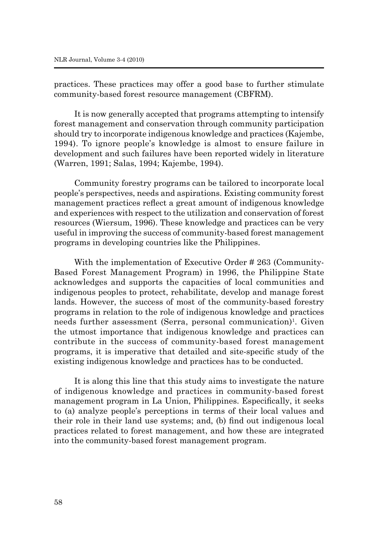practices. These practices may offer a good base to further stimulate community-based forest resource management (CBFRM).

It is now generally accepted that programs attempting to intensify forest management and conservation through community participation should try to incorporate indigenous knowledge and practices (Kajembe, 1994). To ignore people's knowledge is almost to ensure failure in development and such failures have been reported widely in literature (Warren, 1991; Salas, 1994; Kajembe, 1994).

Community forestry programs can be tailored to incorporate local people's perspectives, needs and aspirations. Existing community forest management practices reflect a great amount of indigenous knowledge and experiences with respect to the utilization and conservation of forest resources (Wiersum, 1996). These knowledge and practices can be very useful in improving the success of community-based forest management programs in developing countries like the Philippines.

With the implementation of Executive Order # 263 (Community-Based Forest Management Program) in 1996, the Philippine State acknowledges and supports the capacities of local communities and indigenous peoples to protect, rehabilitate, develop and manage forest lands. However, the success of most of the community-based forestry programs in relation to the role of indigenous knowledge and practices needs further assessment (Serra, personal communication)<sup>1</sup>. Given the utmost importance that indigenous knowledge and practices can contribute in the success of community-based forest management programs, it is imperative that detailed and site-specific study of the existing indigenous knowledge and practices has to be conducted.

It is along this line that this study aims to investigate the nature of indigenous knowledge and practices in community-based forest management program in La Union, Philippines. Especifically, it seeks to (a) analyze people's perceptions in terms of their local values and their role in their land use systems; and, (b) find out indigenous local practices related to forest management, and how these are integrated into the community-based forest management program.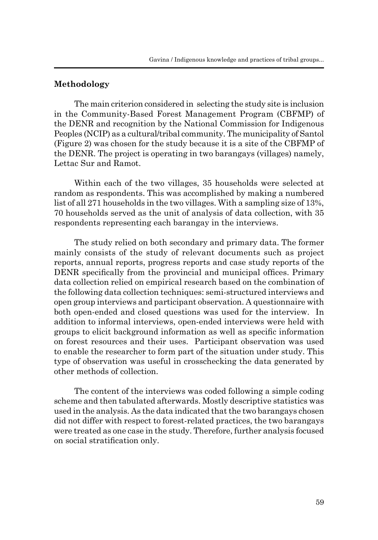### **Methodology**

The main criterion considered in selecting the study site is inclusion in the Community-Based Forest Management Program (CBFMP) of the DENR and recognition by the National Commission for Indigenous Peoples (NCIP) as a cultural/tribal community. The municipality of Santol (Figure 2) was chosen for the study because it is a site of the CBFMP of the DENR. The project is operating in two barangays (villages) namely, Lettac Sur and Ramot.

Within each of the two villages, 35 households were selected at random as respondents. This was accomplished by making a numbered list of all 271 households in the two villages. With a sampling size of 13%, 70 households served as the unit of analysis of data collection, with 35 respondents representing each barangay in the interviews.

The study relied on both secondary and primary data. The former mainly consists of the study of relevant documents such as project reports, annual reports, progress reports and case study reports of the DENR specifically from the provincial and municipal offices. Primary data collection relied on empirical research based on the combination of the following data collection techniques: semi-structured interviews and open group interviews and participant observation. A questionnaire with both open-ended and closed questions was used for the interview. In addition to informal interviews, open-ended interviews were held with groups to elicit background information as well as specific information on forest resources and their uses. Participant observation was used to enable the researcher to form part of the situation under study. This type of observation was useful in crosschecking the data generated by other methods of collection.

The content of the interviews was coded following a simple coding scheme and then tabulated afterwards. Mostly descriptive statistics was used in the analysis. As the data indicated that the two barangays chosen did not differ with respect to forest-related practices, the two barangays were treated as one case in the study. Therefore, further analysis focused on social stratification only.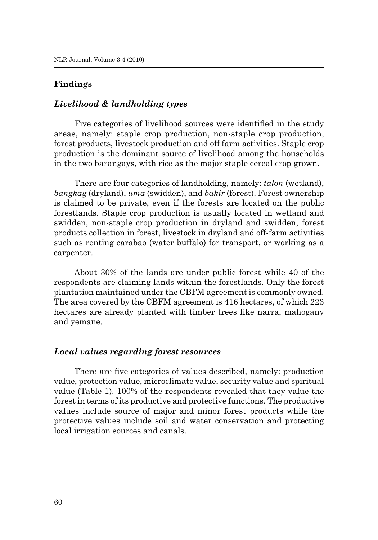### **Findings**

### *Livelihood & landholding types*

Five categories of livelihood sources were identified in the study areas, namely: staple crop production, non-staple crop production, forest products, livestock production and off farm activities. Staple crop production is the dominant source of livelihood among the households in the two barangays, with rice as the major staple cereal crop grown.

There are four categories of landholding, namely: *talon* (wetland), *bangkag* (dryland), *uma* (swidden), and *bakir* (forest). Forest ownership is claimed to be private, even if the forests are located on the public forestlands. Staple crop production is usually located in wetland and swidden, non-staple crop production in dryland and swidden, forest products collection in forest, livestock in dryland and off-farm activities such as renting carabao (water buffalo) for transport, or working as a carpenter.

About 30% of the lands are under public forest while 40 of the respondents are claiming lands within the forestlands. Only the forest plantation maintained under the CBFM agreement is commonly owned. The area covered by the CBFM agreement is 416 hectares, of which 223 hectares are already planted with timber trees like narra, mahogany and yemane.

#### *Local values regarding forest resources*

There are five categories of values described, namely: production value, protection value, microclimate value, security value and spiritual value (Table 1). 100% of the respondents revealed that they value the forest in terms of its productive and protective functions. The productive values include source of major and minor forest products while the protective values include soil and water conservation and protecting local irrigation sources and canals.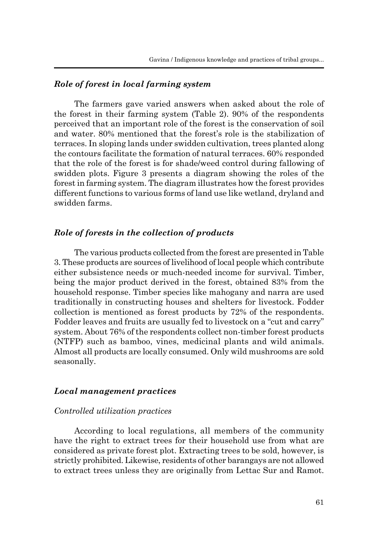## *Role of forest in local farming system*

The farmers gave varied answers when asked about the role of the forest in their farming system (Table 2). 90% of the respondents perceived that an important role of the forest is the conservation of soil and water. 80% mentioned that the forest's role is the stabilization of terraces. In sloping lands under swidden cultivation, trees planted along the contours facilitate the formation of natural terraces. 60% responded that the role of the forest is for shade/weed control during fallowing of swidden plots. Figure 3 presents a diagram showing the roles of the forest in farming system. The diagram illustrates how the forest provides different functions to various forms of land use like wetland, dryland and swidden farms.

#### *Role of forests in the collection of products*

The various products collected from the forest are presented in Table 3. These products are sources of livelihood of local people which contribute either subsistence needs or much-needed income for survival. Timber, being the major product derived in the forest, obtained 83% from the household response. Timber species like mahogany and narra are used traditionally in constructing houses and shelters for livestock. Fodder collection is mentioned as forest products by 72% of the respondents. Fodder leaves and fruits are usually fed to livestock on a "cut and carry" system. About 76% of the respondents collect non-timber forest products (NTFP) such as bamboo, vines, medicinal plants and wild animals. Almost all products are locally consumed. Only wild mushrooms are sold seasonally.

### *Local management practices*

### *Controlled utilization practices*

According to local regulations, all members of the community have the right to extract trees for their household use from what are considered as private forest plot. Extracting trees to be sold, however, is strictly prohibited. Likewise, residents of other barangays are not allowed to extract trees unless they are originally from Lettac Sur and Ramot.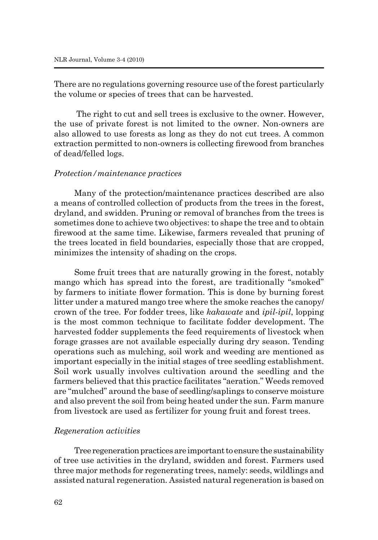There are no regulations governing resource use of the forest particularly the volume or species of trees that can be harvested.

 The right to cut and sell trees is exclusive to the owner. However, the use of private forest is not limited to the owner. Non-owners are also allowed to use forests as long as they do not cut trees. A common extraction permitted to non-owners is collecting firewood from branches of dead/felled logs.

#### *Protection/maintenance practices*

Many of the protection/maintenance practices described are also a means of controlled collection of products from the trees in the forest, dryland, and swidden. Pruning or removal of branches from the trees is sometimes done to achieve two objectives: to shape the tree and to obtain firewood at the same time. Likewise, farmers revealed that pruning of the trees located in field boundaries, especially those that are cropped, minimizes the intensity of shading on the crops.

Some fruit trees that are naturally growing in the forest, notably mango which has spread into the forest, are traditionally "smoked" by farmers to initiate flower formation. This is done by burning forest litter under a matured mango tree where the smoke reaches the canopy/ crown of the tree. For fodder trees, like *kakawate* and *ipil-ipil*, lopping is the most common technique to facilitate fodder development. The harvested fodder supplements the feed requirements of livestock when forage grasses are not available especially during dry season. Tending operations such as mulching, soil work and weeding are mentioned as important especially in the initial stages of tree seedling establishment. Soil work usually involves cultivation around the seedling and the farmers believed that this practice facilitates "aeration." Weeds removed are "mulched" around the base of seedling/saplings to conserve moisture and also prevent the soil from being heated under the sun. Farm manure from livestock are used as fertilizer for young fruit and forest trees.

#### *Regeneration activities*

Tree regeneration practices are important to ensure the sustainability of tree use activities in the dryland, swidden and forest. Farmers used three major methods for regenerating trees, namely: seeds, wildlings and assisted natural regeneration. Assisted natural regeneration is based on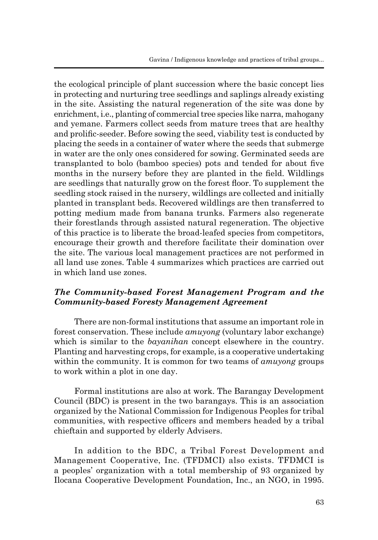the ecological principle of plant succession where the basic concept lies in protecting and nurturing tree seedlings and saplings already existing in the site. Assisting the natural regeneration of the site was done by enrichment, i.e., planting of commercial tree species like narra, mahogany and yemane. Farmers collect seeds from mature trees that are healthy and prolific-seeder. Before sowing the seed, viability test is conducted by placing the seeds in a container of water where the seeds that submerge in water are the only ones considered for sowing. Germinated seeds are transplanted to bolo (bamboo species) pots and tended for about five months in the nursery before they are planted in the field. Wildlings are seedlings that naturally grow on the forest floor. To supplement the seedling stock raised in the nursery, wildlings are collected and initially planted in transplant beds. Recovered wildlings are then transferred to potting medium made from banana trunks. Farmers also regenerate their forestlands through assisted natural regeneration. The objective of this practice is to liberate the broad-leafed species from competitors, encourage their growth and therefore facilitate their domination over the site. The various local management practices are not performed in all land use zones. Table 4 summarizes which practices are carried out in which land use zones.

## *The Community-based Forest Management Program and the Community-based Foresty Management Agreement*

There are non-formal institutions that assume an important role in forest conservation. These include *amuyong* (voluntary labor exchange) which is similar to the *bayanihan* concept elsewhere in the country. Planting and harvesting crops, for example, is a cooperative undertaking within the community. It is common for two teams of *amuyong* groups to work within a plot in one day.

Formal institutions are also at work. The Barangay Development Council (BDC) is present in the two barangays. This is an association organized by the National Commission for Indigenous Peoples for tribal communities, with respective officers and members headed by a tribal chieftain and supported by elderly Advisers.

In addition to the BDC, a Tribal Forest Development and Management Cooperative, Inc. (TFDMCI) also exists. TFDMCI is a peoples' organization with a total membership of 93 organized by Ilocana Cooperative Development Foundation, Inc., an NGO, in 1995.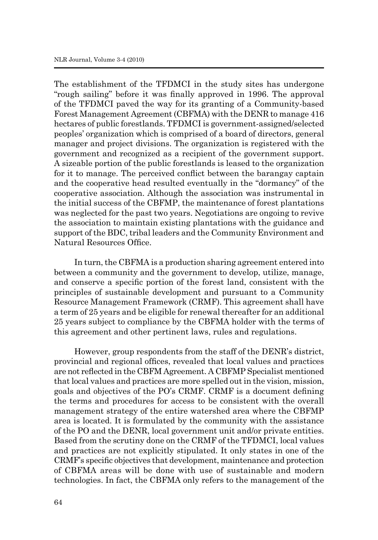The establishment of the TFDMCI in the study sites has undergone "rough sailing" before it was finally approved in 1996. The approval of the TFDMCI paved the way for its granting of a Community-based Forest Management Agreement (CBFMA) with the DENR to manage 416 hectares of public forestlands. TFDMCI is government-assigned/selected peoples' organization which is comprised of a board of directors, general manager and project divisions. The organization is registered with the government and recognized as a recipient of the government support. A sizeable portion of the public forestlands is leased to the organization for it to manage. The perceived conflict between the barangay captain and the cooperative head resulted eventually in the "dormancy" of the cooperative association. Although the association was instrumental in the initial success of the CBFMP, the maintenance of forest plantations was neglected for the past two years. Negotiations are ongoing to revive the association to maintain existing plantations with the guidance and support of the BDC, tribal leaders and the Community Environment and Natural Resources Office.

In turn, the CBFMA is a production sharing agreement entered into between a community and the government to develop, utilize, manage, and conserve a specific portion of the forest land, consistent with the principles of sustainable development and pursuant to a Community Resource Management Framework (CRMF). This agreement shall have a term of 25 years and be eligible for renewal thereafter for an additional 25 years subject to compliance by the CBFMA holder with the terms of this agreement and other pertinent laws, rules and regulations.

However, group respondents from the staff of the DENR's district, provincial and regional offices, revealed that local values and practices are not reflected in the CBFM Agreement. A CBFMP Specialist mentioned that local values and practices are more spelled out in the vision, mission, goals and objectives of the PO's CRMF. CRMF is a document defining the terms and procedures for access to be consistent with the overall management strategy of the entire watershed area where the CBFMP area is located. It is formulated by the community with the assistance of the PO and the DENR, local government unit and/or private entities. Based from the scrutiny done on the CRMF of the TFDMCI, local values and practices are not explicitly stipulated. It only states in one of the CRMF's specific objectives that development, maintenance and protection of CBFMA areas will be done with use of sustainable and modern technologies. In fact, the CBFMA only refers to the management of the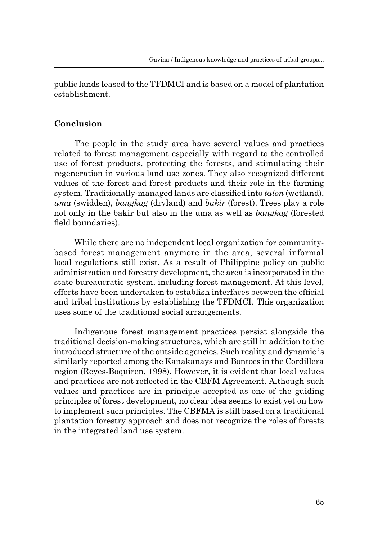public lands leased to the TFDMCI and is based on a model of plantation establishment.

## **Conclusion**

The people in the study area have several values and practices related to forest management especially with regard to the controlled use of forest products, protecting the forests, and stimulating their regeneration in various land use zones. They also recognized different values of the forest and forest products and their role in the farming system. Traditionally-managed lands are classified into *talon* (wetland), *uma* (swidden), *bangkag* (dryland) and *bakir* (forest). Trees play a role not only in the bakir but also in the uma as well as *bangkag* (forested field boundaries).

While there are no independent local organization for communitybased forest management anymore in the area, several informal local regulations still exist. As a result of Philippine policy on public administration and forestry development, the area is incorporated in the state bureaucratic system, including forest management. At this level, efforts have been undertaken to establish interfaces between the official and tribal institutions by establishing the TFDMCI. This organization uses some of the traditional social arrangements.

Indigenous forest management practices persist alongside the traditional decision-making structures, which are still in addition to the introduced structure of the outside agencies. Such reality and dynamic is similarly reported among the Kanakanays and Bontocs in the Cordillera region (Reyes-Boquiren, 1998). However, it is evident that local values and practices are not reflected in the CBFM Agreement. Although such values and practices are in principle accepted as one of the guiding principles of forest development, no clear idea seems to exist yet on how to implement such principles. The CBFMA is still based on a traditional plantation forestry approach and does not recognize the roles of forests in the integrated land use system.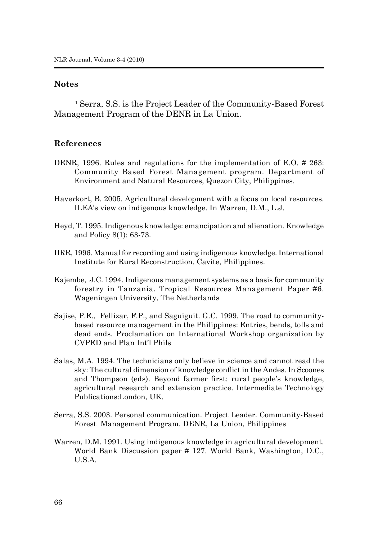#### **Notes**

1 Serra, S.S. is the Project Leader of the Community-Based Forest Management Program of the DENR in La Union.

#### **References**

- DENR, 1996. Rules and regulations for the implementation of E.O. # 263: Community Based Forest Management program. Department of Environment and Natural Resources, Quezon City, Philippines.
- Haverkort, B. 2005. Agricultural development with a focus on local resources. ILEA's view on indigenous knowledge. In Warren, D.M., L.J.
- Heyd, T. 1995. Indigenous knowledge: emancipation and alienation. Knowledge and Policy 8(1): 63-73.
- IIRR, 1996. Manual for recording and using indigenous knowledge. International Institute for Rural Reconstruction, Cavite, Philippines.
- Kajembe, J.C. 1994. Indigenous management systems as a basis for community forestry in Tanzania. Tropical Resources Management Paper #6. Wageningen University, The Netherlands
- Sajise, P.E., Fellizar, F.P., and Saguiguit. G.C. 1999. The road to communitybased resource management in the Philippines: Entries, bends, tolls and dead ends. Proclamation on International Workshop organization by CVPED and Plan Int'l Phils
- Salas, M.A. 1994. The technicians only believe in science and cannot read the sky: The cultural dimension of knowledge conflict in the Andes. In Scoones and Thompson (eds). Beyond farmer first: rural people's knowledge, agricultural research and extension practice. Intermediate Technology Publications:London, UK.
- Serra, S.S. 2003. Personal communication. Project Leader. Community-Based Forest Management Program. DENR, La Union, Philippines
- Warren, D.M. 1991. Using indigenous knowledge in agricultural development. World Bank Discussion paper # 127. World Bank, Washington, D.C., U.S.A.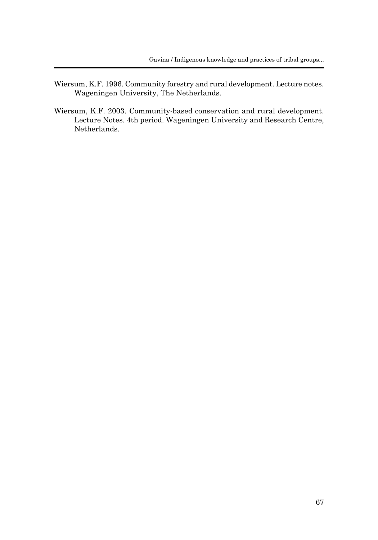- Wiersum, K.F. 1996. Community forestry and rural development. Lecture notes. Wageningen University, The Netherlands.
- Wiersum, K.F. 2003. Community-based conservation and rural development. Lecture Notes. 4th period. Wageningen University and Research Centre, Netherlands.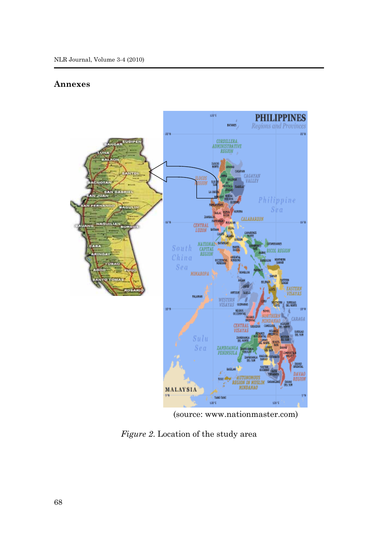### **Annexes**



(source: www.nationmaster.com)

*Figure 2*. Location of the study area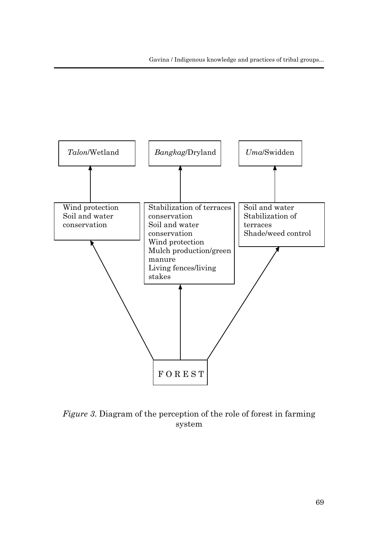

*Figure 3*. Diagram of the perception of the role of forest in farming system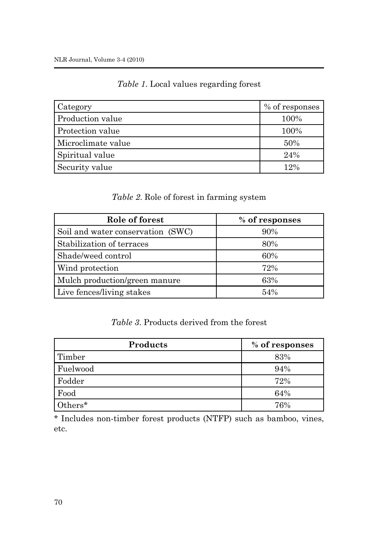| Category                | % of responses |
|-------------------------|----------------|
| <b>Production value</b> | 100%           |
| Protection value        | 100%           |
| Microclimate value      | 50%            |
| Spiritual value         | 24%            |
| Security value          | 12%            |

## *Table 1*. Local values regarding forest

*Table 2*. Role of forest in farming system

| Role of forest                    | % of responses |
|-----------------------------------|----------------|
| Soil and water conservation (SWC) | 90%            |
| Stabilization of terraces         | 80%            |
| Shade/weed control                | 60%            |
| Wind protection                   | 72%            |
| Mulch production/green manure     | 63%            |
| Live fences/living stakes         | 54%            |

## *Table 3*. Products derived from the forest

| Products | % of responses |
|----------|----------------|
| Timber   | 83%            |
| Fuelwood | 94%            |
| Fodder   | 72%            |
| Food     | 64%            |
| Others*  | 76%            |

\* Includes non-timber forest products (NTFP) such as bamboo, vines, etc.